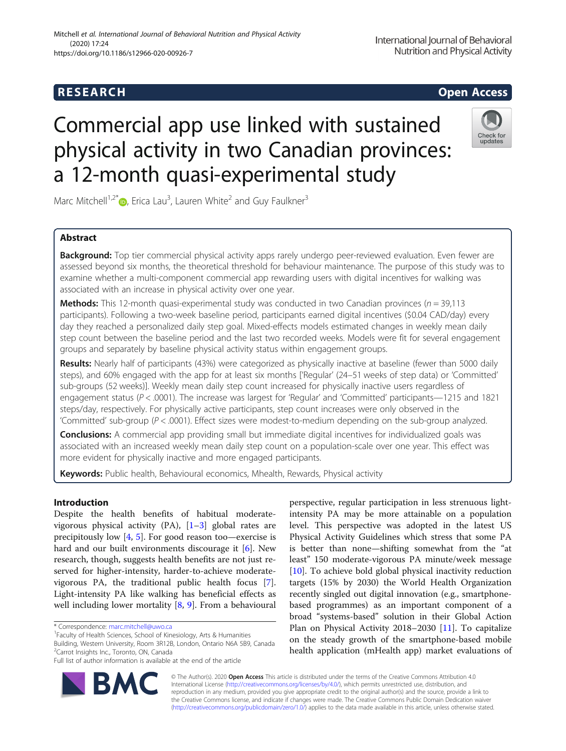# Mitchell et al. International Journal of Behavioral Nutrition and Physical Activity (2020) 17:24 https://doi.org/10.1186/s12966-020-00926-7

# Commercial app use linked with sustained physical activity in two Canadian provinces: a 12-month quasi-experimental study

Marc Mitchell<sup>1[,](http://orcid.org/0000-0002-2772-9614)2\*</sup> $\bullet$ , Erica Lau<sup>3</sup>, Lauren White<sup>2</sup> and Guy Faulkner<sup>3</sup>

# Abstract

Background: Top tier commercial physical activity apps rarely undergo peer-reviewed evaluation. Even fewer are assessed beyond six months, the theoretical threshold for behaviour maintenance. The purpose of this study was to examine whether a multi-component commercial app rewarding users with digital incentives for walking was associated with an increase in physical activity over one year.

**Methods:** This 12-month quasi-experimental study was conducted in two Canadian provinces ( $n = 39,113$ ) participants). Following a two-week baseline period, participants earned digital incentives (\$0.04 CAD/day) every day they reached a personalized daily step goal. Mixed-effects models estimated changes in weekly mean daily step count between the baseline period and the last two recorded weeks. Models were fit for several engagement groups and separately by baseline physical activity status within engagement groups.

Results: Nearly half of participants (43%) were categorized as physically inactive at baseline (fewer than 5000 daily steps), and 60% engaged with the app for at least six months ['Regular' (24–51 weeks of step data) or 'Committed' sub-groups (52 weeks)]. Weekly mean daily step count increased for physically inactive users regardless of engagement status ( $P < .0001$ ). The increase was largest for 'Regular' and 'Committed' participants—1215 and 1821 steps/day, respectively. For physically active participants, step count increases were only observed in the 'Committed' sub-group (P < .0001). Effect sizes were modest-to-medium depending on the sub-group analyzed.

**Conclusions:** A commercial app providing small but immediate digital incentives for individualized goals was associated with an increased weekly mean daily step count on a population-scale over one year. This effect was more evident for physically inactive and more engaged participants.

Keywords: Public health, Behavioural economics, Mhealth, Rewards, Physical activity

# Introduction

Despite the health benefits of habitual moderatevigorous physical activity (PA), [\[1](#page-7-0)–[3\]](#page-8-0) global rates are precipitously low  $[4, 5]$  $[4, 5]$  $[4, 5]$  $[4, 5]$ . For good reason too—exercise is hard and our built environments discourage it [[6\]](#page-8-0). New research, though, suggests health benefits are not just reserved for higher-intensity, harder-to-achieve moderatevigorous PA, the traditional public health focus [\[7](#page-8-0)]. Light-intensity PA like walking has beneficial effects as well including lower mortality [[8,](#page-8-0) [9\]](#page-8-0). From a behavioural

RA

<sup>1</sup>Faculty of Health Sciences, School of Kinesiology, Arts & Humanities Building, Western University, Room 3R12B, London, Ontario N6A 5B9, Canada <sup>2</sup> Carrot Insights Inc., Toronto, ON, Canada

perspective, regular participation in less strenuous lightintensity PA may be more attainable on a population level. This perspective was adopted in the latest US Physical Activity Guidelines which stress that some PA is better than none—shifting somewhat from the "at least" 150 moderate-vigorous PA minute/week message [[10\]](#page-8-0). To achieve bold global physical inactivity reduction targets (15% by 2030) the World Health Organization recently singled out digital innovation (e.g., smartphonebased programmes) as an important component of a broad "systems-based" solution in their Global Action Plan on Physical Activity 2018–2030 [[11\]](#page-8-0). To capitalize on the steady growth of the smartphone-based mobile health application (mHealth app) market evaluations of



International Journal of Behavioral Nutrition and Physical Activity



Check for undates

<sup>\*</sup> Correspondence: [marc.mitchell@uwo.ca](mailto:marc.mitchell@uwo.ca) <sup>1</sup>

Full list of author information is available at the end of the article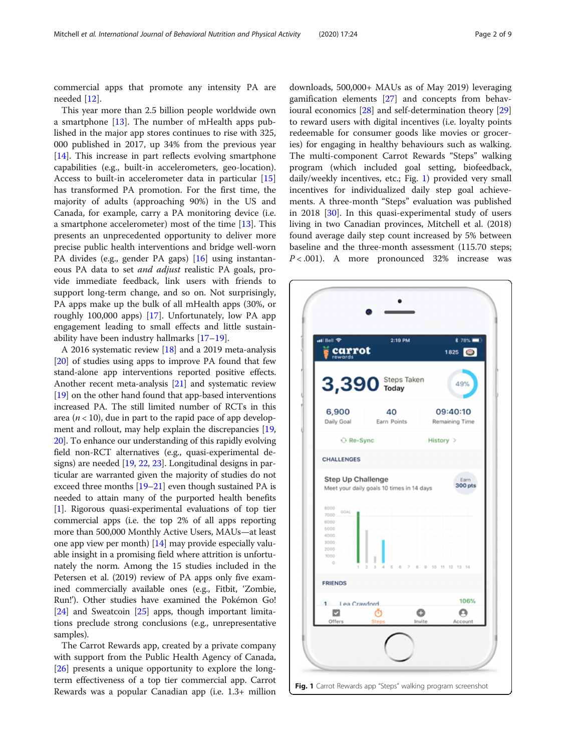<span id="page-1-0"></span>commercial apps that promote any intensity PA are needed [[12\]](#page-8-0).

This year more than 2.5 billion people worldwide own a smartphone [\[13\]](#page-8-0). The number of mHealth apps published in the major app stores continues to rise with 325, 000 published in 2017, up 34% from the previous year [[14\]](#page-8-0). This increase in part reflects evolving smartphone capabilities (e.g., built-in accelerometers, geo-location). Access to built-in accelerometer data in particular [[15](#page-8-0)] has transformed PA promotion. For the first time, the majority of adults (approaching 90%) in the US and Canada, for example, carry a PA monitoring device (i.e. a smartphone accelerometer) most of the time [\[13\]](#page-8-0). This presents an unprecedented opportunity to deliver more precise public health interventions and bridge well-worn PA divides (e.g., gender PA gaps) [\[16\]](#page-8-0) using instantaneous PA data to set and adjust realistic PA goals, provide immediate feedback, link users with friends to support long-term change, and so on. Not surprisingly, PA apps make up the bulk of all mHealth apps (30%, or roughly 100,000 apps) [\[17](#page-8-0)]. Unfortunately, low PA app engagement leading to small effects and little sustainability have been industry hallmarks [[17](#page-8-0)–[19](#page-8-0)].

A 2016 systematic review [\[18\]](#page-8-0) and a 2019 meta-analysis [[20](#page-8-0)] of studies using apps to improve PA found that few stand-alone app interventions reported positive effects. Another recent meta-analysis [[21](#page-8-0)] and systematic review [[19](#page-8-0)] on the other hand found that app-based interventions increased PA. The still limited number of RCTs in this area ( $n < 10$ ), due in part to the rapid pace of app develop-ment and rollout, may help explain the discrepancies [[19](#page-8-0), [20](#page-8-0)]. To enhance our understanding of this rapidly evolving field non-RCT alternatives (e.g., quasi-experimental designs) are needed [[19](#page-8-0), [22,](#page-8-0) [23](#page-8-0)]. Longitudinal designs in particular are warranted given the majority of studies do not exceed three months [\[19](#page-8-0)–[21](#page-8-0)] even though sustained PA is needed to attain many of the purported health benefits [[1\]](#page-7-0). Rigorous quasi-experimental evaluations of top tier commercial apps (i.e. the top 2% of all apps reporting more than 500,000 Monthly Active Users, MAUs—at least one app view per month) [[14\]](#page-8-0) may provide especially valuable insight in a promising field where attrition is unfortunately the norm. Among the 15 studies included in the Petersen et al. (2019) review of PA apps only five examined commercially available ones (e.g., Fitbit, 'Zombie, Run!'). Other studies have examined the Pokémon Go! [[24](#page-8-0)] and Sweatcoin [\[25](#page-8-0)] apps, though important limitations preclude strong conclusions (e.g., unrepresentative samples).

The Carrot Rewards app, created by a private company with support from the Public Health Agency of Canada, [[26\]](#page-8-0) presents a unique opportunity to explore the longterm effectiveness of a top tier commercial app. Carrot Rewards was a popular Canadian app (i.e. 1.3+ million

downloads, 500,000+ MAUs as of May 2019) leveraging gamification elements [[27](#page-8-0)] and concepts from behavioural economics [\[28\]](#page-8-0) and self-determination theory [[29](#page-8-0)] to reward users with digital incentives (i.e. loyalty points redeemable for consumer goods like movies or groceries) for engaging in healthy behaviours such as walking. The multi-component Carrot Rewards "Steps" walking program (which included goal setting, biofeedback, daily/weekly incentives, etc.; Fig. 1) provided very small incentives for individualized daily step goal achievements. A three-month "Steps" evaluation was published in 2018 [\[30](#page-8-0)]. In this quasi-experimental study of users living in two Canadian provinces, Mitchell et al. (2018) found average daily step count increased by 5% between baseline and the three-month assessment (115.70 steps;  $P < .001$ ). A more pronounced 32% increase was

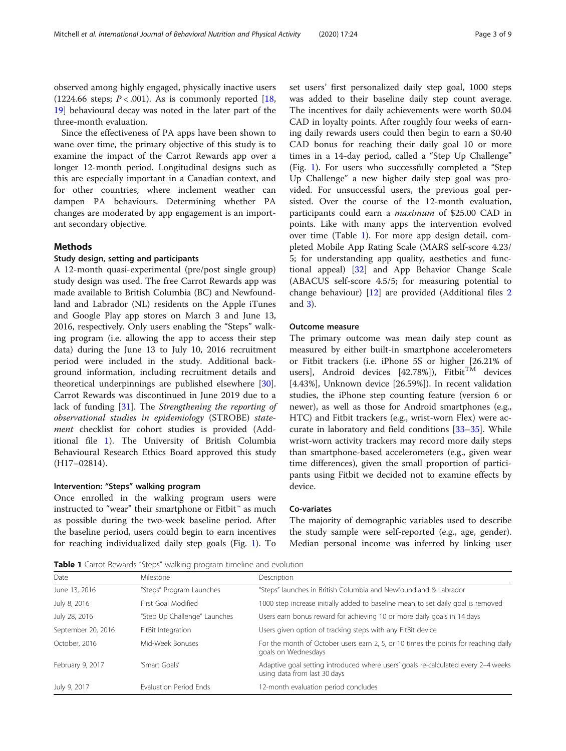observed among highly engaged, physically inactive users (1224.66 steps;  $P < .001$ ). As is commonly reported [[18](#page-8-0), [19\]](#page-8-0) behavioural decay was noted in the later part of the three-month evaluation.

Since the effectiveness of PA apps have been shown to wane over time, the primary objective of this study is to examine the impact of the Carrot Rewards app over a longer 12-month period. Longitudinal designs such as this are especially important in a Canadian context, and for other countries, where inclement weather can dampen PA behaviours. Determining whether PA changes are moderated by app engagement is an important secondary objective.

#### Methods

# Study design, setting and participants

A 12-month quasi-experimental (pre/post single group) study design was used. The free Carrot Rewards app was made available to British Columbia (BC) and Newfoundland and Labrador (NL) residents on the Apple iTunes and Google Play app stores on March 3 and June 13, 2016, respectively. Only users enabling the "Steps" walking program (i.e. allowing the app to access their step data) during the June 13 to July 10, 2016 recruitment period were included in the study. Additional background information, including recruitment details and theoretical underpinnings are published elsewhere [\[30](#page-8-0)]. Carrot Rewards was discontinued in June 2019 due to a lack of funding [[31\]](#page-8-0). The Strengthening the reporting of observational studies in epidemiology (STROBE) statement checklist for cohort studies is provided (Additional file [1\)](#page-7-0). The University of British Columbia Behavioural Research Ethics Board approved this study (H17–02814).

# Intervention: "Steps" walking program

Once enrolled in the walking program users were instructed to "wear" their smartphone or Fitbit™ as much as possible during the two-week baseline period. After the baseline period, users could begin to earn incentives for reaching individualized daily step goals (Fig. [1](#page-1-0)). To set users' first personalized daily step goal, 1000 steps was added to their baseline daily step count average. The incentives for daily achievements were worth \$0.04 CAD in loyalty points. After roughly four weeks of earning daily rewards users could then begin to earn a \$0.40 CAD bonus for reaching their daily goal 10 or more times in a 14-day period, called a "Step Up Challenge" (Fig. [1](#page-1-0)). For users who successfully completed a "Step Up Challenge" a new higher daily step goal was provided. For unsuccessful users, the previous goal persisted. Over the course of the 12-month evaluation, participants could earn a maximum of \$25.00 CAD in points. Like with many apps the intervention evolved over time (Table 1). For more app design detail, completed Mobile App Rating Scale (MARS self-score 4.23/ 5; for understanding app quality, aesthetics and functional appeal) [\[32](#page-8-0)] and App Behavior Change Scale (ABACUS self-score 4.5/5; for measuring potential to change behaviour) [[12](#page-8-0)] are provided (Additional files [2](#page-7-0) and [3\)](#page-7-0).

#### Outcome measure

The primary outcome was mean daily step count as measured by either built-in smartphone accelerometers or Fitbit trackers (i.e. iPhone 5S or higher [26.21% of users], Android devices [42.78%]), Fitbit<sup>TM</sup> devices [4.43%], Unknown device [26.59%]). In recent validation studies, the iPhone step counting feature (version 6 or newer), as well as those for Android smartphones (e.g., HTC) and Fitbit trackers (e.g., wrist-worn Flex) were accurate in laboratory and field conditions [\[33](#page-8-0)–[35\]](#page-8-0). While wrist-worn activity trackers may record more daily steps than smartphone-based accelerometers (e.g., given wear time differences), given the small proportion of participants using Fitbit we decided not to examine effects by device.

# Co-variates

The majority of demographic variables used to describe the study sample were self-reported (e.g., age, gender). Median personal income was inferred by linking user

Table 1 Carrot Rewards "Steps" walking program timeline and evolution

| Date               | Milestone                    | Description                                                                                                       |
|--------------------|------------------------------|-------------------------------------------------------------------------------------------------------------------|
| June 13, 2016      | "Steps" Program Launches     | "Steps" launches in British Columbia and Newfoundland & Labrador                                                  |
| July 8, 2016       | First Goal Modified          | 1000 step increase initially added to baseline mean to set daily goal is removed                                  |
| July 28, 2016      | "Step Up Challenge" Launches | Users earn bonus reward for achieving 10 or more daily goals in 14 days                                           |
| September 20, 2016 | FitBit Integration           | Users given option of tracking steps with any FitBit device                                                       |
| October, 2016      | Mid-Week Bonuses             | For the month of October users earn 2, 5, or 10 times the points for reaching daily<br>goals on Wednesdays        |
| February 9, 2017   | 'Smart Goals'                | Adaptive goal setting introduced where users' goals re-calculated every 2-4 weeks<br>using data from last 30 days |
| July 9, 2017       | Evaluation Period Ends       | 12-month evaluation period concludes                                                                              |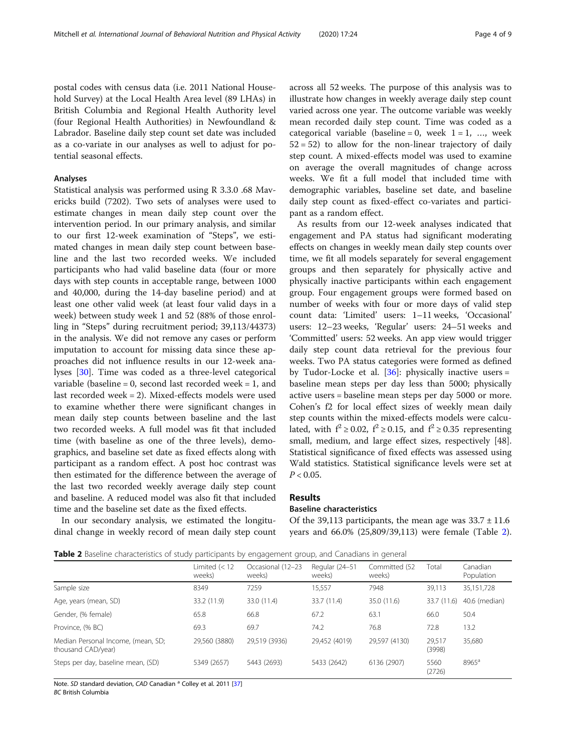postal codes with census data (i.e. 2011 National Household Survey) at the Local Health Area level (89 LHAs) in British Columbia and Regional Health Authority level (four Regional Health Authorities) in Newfoundland & Labrador. Baseline daily step count set date was included as a co-variate in our analyses as well to adjust for potential seasonal effects.

#### Analyses

Statistical analysis was performed using R 3.3.0 .68 Mavericks build (7202). Two sets of analyses were used to estimate changes in mean daily step count over the intervention period. In our primary analysis, and similar to our first 12-week examination of "Steps", we estimated changes in mean daily step count between baseline and the last two recorded weeks. We included participants who had valid baseline data (four or more days with step counts in acceptable range, between 1000 and 40,000, during the 14-day baseline period) and at least one other valid week (at least four valid days in a week) between study week 1 and 52 (88% of those enrolling in "Steps" during recruitment period; 39,113/44373) in the analysis. We did not remove any cases or perform imputation to account for missing data since these approaches did not influence results in our 12-week analyses [\[30](#page-8-0)]. Time was coded as a three-level categorical variable (baseline = 0, second last recorded week = 1, and last recorded week = 2). Mixed-effects models were used to examine whether there were significant changes in mean daily step counts between baseline and the last two recorded weeks. A full model was fit that included time (with baseline as one of the three levels), demographics, and baseline set date as fixed effects along with participant as a random effect. A post hoc contrast was then estimated for the difference between the average of the last two recorded weekly average daily step count and baseline. A reduced model was also fit that included time and the baseline set date as the fixed effects.

In our secondary analysis, we estimated the longitudinal change in weekly record of mean daily step count across all 52 weeks. The purpose of this analysis was to illustrate how changes in weekly average daily step count varied across one year. The outcome variable was weekly mean recorded daily step count. Time was coded as a categorical variable (baseline = 0, week  $1 = 1$ , ..., week  $52 = 52$ ) to allow for the non-linear trajectory of daily step count. A mixed-effects model was used to examine on average the overall magnitudes of change across weeks. We fit a full model that included time with demographic variables, baseline set date, and baseline daily step count as fixed-effect co-variates and participant as a random effect.

As results from our 12-week analyses indicated that engagement and PA status had significant moderating effects on changes in weekly mean daily step counts over time, we fit all models separately for several engagement groups and then separately for physically active and physically inactive participants within each engagement group. Four engagement groups were formed based on number of weeks with four or more days of valid step count data: 'Limited' users: 1–11 weeks, 'Occasional' users: 12–23 weeks, 'Regular' users: 24–51 weeks and 'Committed' users: 52 weeks. An app view would trigger daily step count data retrieval for the previous four weeks. Two PA status categories were formed as defined by Tudor-Locke et al.  $[36]$  $[36]$ : physically inactive users = baseline mean steps per day less than 5000; physically active users = baseline mean steps per day 5000 or more. Cohen's f2 for local effect sizes of weekly mean daily step counts within the mixed-effects models were calculated, with  $f^2 \ge 0.02$ ,  $f^2 \ge 0.15$ , and  $f^2 \ge 0.35$  representing small, medium, and large effect sizes, respectively [48]. Statistical significance of fixed effects was assessed using Wald statistics. Statistical significance levels were set at  $P < 0.05$ .

# Results

# Baseline characteristics

Of the 39,113 participants, the mean age was  $33.7 \pm 11.6$ years and 66.0% (25,809/39,113) were female (Table 2).

**Table 2** Baseline characteristics of study participants by engagement group, and Canadians in general

|                                                          | Limited $(< 12$<br>weeks) | Occasional (12-23<br>weeks) | Regular (24-51<br>weeks) | Committed (52<br>weeks) | Total            | Canadian<br>Population |  |  |
|----------------------------------------------------------|---------------------------|-----------------------------|--------------------------|-------------------------|------------------|------------------------|--|--|
| Sample size                                              | 8349                      | 7259                        | 15,557                   | 7948                    | 39,113           | 35,151,728             |  |  |
| Age, years (mean, SD)                                    | 33.2 (11.9)               | 33.0 (11.4)                 | 33.7 (11.4)              | 35.0 (11.6)             | 33.7 (11.6)      | 40.6 (median)          |  |  |
| Gender, (% female)                                       | 65.8                      | 66.8                        | 67.2                     | 63.1                    | 66.0             | 50.4                   |  |  |
| Province, (% BC)                                         | 69.3                      | 69.7                        | 74.2                     | 76.8                    | 72.8             | 13.2                   |  |  |
| Median Personal Income, (mean, SD;<br>thousand CAD/year) | 29,560 (3880)             | 29,519 (3936)               | 29,452 (4019)            | 29,597 (4130)           | 29,517<br>(3998) | 35,680                 |  |  |
| Steps per day, baseline mean, (SD)                       | 5349 (2657)               | 5443 (2693)                 | 5433 (2642)              | 6136 (2907)             | 5560<br>(2726)   | 8965 <sup>a</sup>      |  |  |

Note. SD standard deviation, CAD Canadian<sup>a</sup> Colley et al. 2011 [\[37](#page-8-0)] BC British Columbia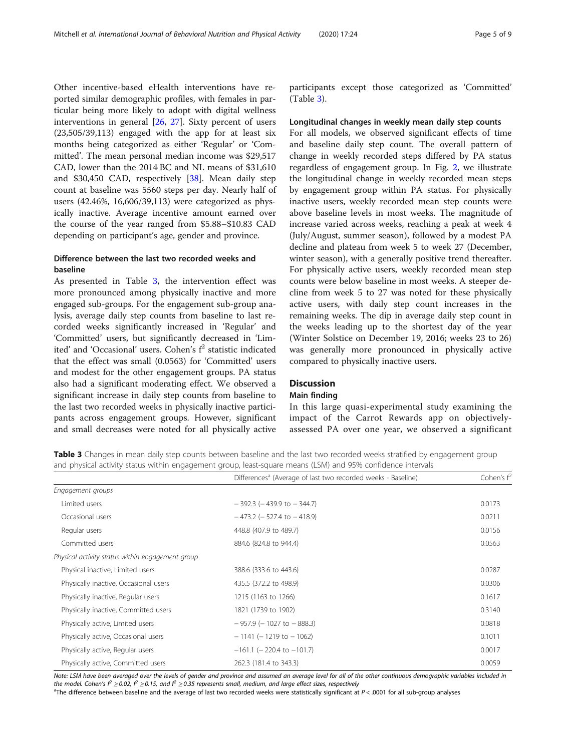Other incentive-based eHealth interventions have reported similar demographic profiles, with females in particular being more likely to adopt with digital wellness interventions in general [\[26](#page-8-0), [27](#page-8-0)]. Sixty percent of users (23,505/39,113) engaged with the app for at least six months being categorized as either 'Regular' or 'Committed'. The mean personal median income was \$29,517 CAD, lower than the 2014 BC and NL means of \$31,610 and \$30,450 CAD, respectively [\[38](#page-8-0)]. Mean daily step count at baseline was 5560 steps per day. Nearly half of users (42.46%, 16,606/39,113) were categorized as physically inactive. Average incentive amount earned over the course of the year ranged from \$5.88–\$10.83 CAD depending on participant's age, gender and province.

# Difference between the last two recorded weeks and baseline

As presented in Table 3, the intervention effect was more pronounced among physically inactive and more engaged sub-groups. For the engagement sub-group analysis, average daily step counts from baseline to last recorded weeks significantly increased in 'Regular' and 'Committed' users, but significantly decreased in 'Limited' and 'Occasional' users. Cohen's  $f^2$  statistic indicated that the effect was small (0.0563) for 'Committed' users and modest for the other engagement groups. PA status also had a significant moderating effect. We observed a significant increase in daily step counts from baseline to the last two recorded weeks in physically inactive participants across engagement groups. However, significant and small decreases were noted for all physically active

participants except those categorized as 'Committed' (Table 3).

#### Longitudinal changes in weekly mean daily step counts

For all models, we observed significant effects of time and baseline daily step count. The overall pattern of change in weekly recorded steps differed by PA status regardless of engagement group. In Fig. [2](#page-5-0), we illustrate the longitudinal change in weekly recorded mean steps by engagement group within PA status. For physically inactive users, weekly recorded mean step counts were above baseline levels in most weeks. The magnitude of increase varied across weeks, reaching a peak at week 4 (July/August, summer season), followed by a modest PA decline and plateau from week 5 to week 27 (December, winter season), with a generally positive trend thereafter. For physically active users, weekly recorded mean step counts were below baseline in most weeks. A steeper decline from week 5 to 27 was noted for these physically active users, with daily step count increases in the remaining weeks. The dip in average daily step count in the weeks leading up to the shortest day of the year (Winter Solstice on December 19, 2016; weeks 23 to 26) was generally more pronounced in physically active compared to physically inactive users.

#### **Discussion**

#### Main finding

In this large quasi-experimental study examining the impact of the Carrot Rewards app on objectivelyassessed PA over one year, we observed a significant

Table 3 Changes in mean daily step counts between baseline and the last two recorded weeks stratified by engagement group and physical activity status within engagement group, least-square means (LSM) and 95% confidence intervals

|                                                  | Differences <sup>a</sup> (Average of last two recorded weeks - Baseline) | Cohen's f <sup>2</sup> |
|--------------------------------------------------|--------------------------------------------------------------------------|------------------------|
| Engagement groups                                |                                                                          |                        |
| Limited users                                    | $-392.3$ ( $-439.9$ to $-344.7$ )                                        | 0.0173                 |
| Occasional users                                 | $-473.2$ (-527.4 to $-418.9$ )                                           | 0.0211                 |
| Regular users                                    | 448.8 (407.9 to 489.7)                                                   | 0.0156                 |
| Committed users                                  | 884.6 (824.8 to 944.4)                                                   | 0.0563                 |
| Physical activity status within engagement group |                                                                          |                        |
| Physical inactive, Limited users                 | 388.6 (333.6 to 443.6)                                                   | 0.0287                 |
| Physically inactive, Occasional users            | 435.5 (372.2 to 498.9)                                                   | 0.0306                 |
| Physically inactive, Regular users               | 1215 (1163 to 1266)                                                      | 0.1617                 |
| Physically inactive, Committed users             | 1821 (1739 to 1902)                                                      | 0.3140                 |
| Physically active, Limited users                 | $-957.9$ (-1027 to $-888.3$ )                                            | 0.0818                 |
| Physically active, Occasional users              | $-1141$ ( $-1219$ to $-1062$ )                                           | 0.1011                 |
| Physically active, Regular users                 | $-161.1$ (-220.4 to $-101.7$ )                                           | 0.0017                 |
| Physically active, Committed users               | 262.3 (181.4 to 343.3)                                                   | 0.0059                 |

Note: LSM have been averaged over the levels of gender and province and assumed an average level for all of the other continuous demographic variables included in the model. Cohen's  $f^2 > 0.02$ ,  $f^2 > 0.15$ , and  $f^2 > 0.35$  represents small, medium, and large effect sizes, respectively

<sup>a</sup>The difference between baseline and the average of last two recorded weeks were statistically significant at  $P < .0001$  for all sub-group analyses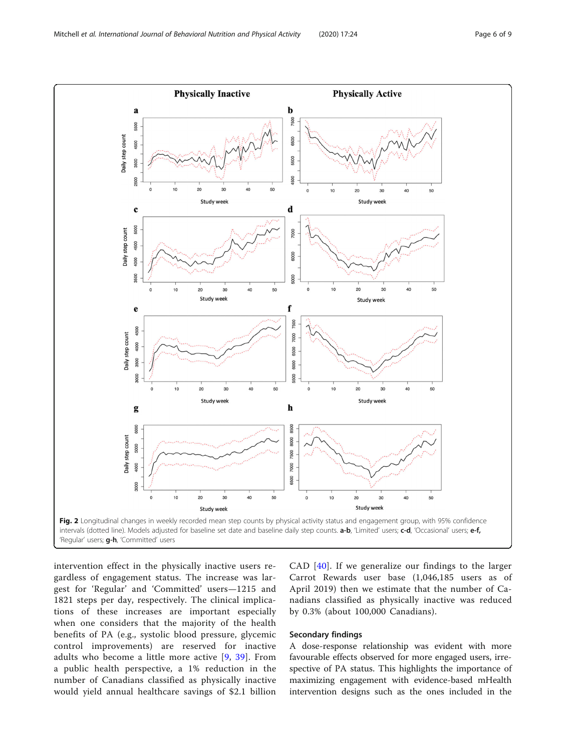<span id="page-5-0"></span>

intervention effect in the physically inactive users regardless of engagement status. The increase was largest for 'Regular' and 'Committed' users—1215 and 1821 steps per day, respectively. The clinical implications of these increases are important especially when one considers that the majority of the health benefits of PA (e.g., systolic blood pressure, glycemic control improvements) are reserved for inactive adults who become a little more active [\[9](#page-8-0), [39](#page-8-0)]. From a public health perspective, a 1% reduction in the number of Canadians classified as physically inactive would yield annual healthcare savings of \$2.1 billion

CAD  $[40]$  $[40]$ . If we generalize our findings to the larger Carrot Rewards user base (1,046,185 users as of April 2019) then we estimate that the number of Canadians classified as physically inactive was reduced by 0.3% (about 100,000 Canadians).

#### Secondary findings

A dose-response relationship was evident with more favourable effects observed for more engaged users, irrespective of PA status. This highlights the importance of maximizing engagement with evidence-based mHealth intervention designs such as the ones included in the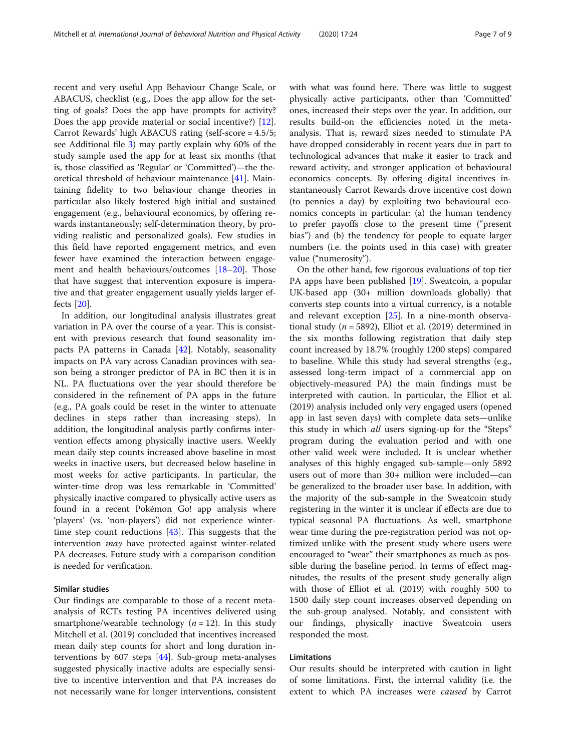recent and very useful App Behaviour Change Scale, or ABACUS, checklist (e.g., Does the app allow for the setting of goals? Does the app have prompts for activity? Does the app provide material or social incentive?) [\[12](#page-8-0)]. Carrot Rewards' high ABACUS rating (self-score = 4.5/5; see Additional file [3\)](#page-7-0) may partly explain why 60% of the study sample used the app for at least six months (that is, those classified as 'Regular' or 'Committed')—the theoretical threshold of behaviour maintenance [[41\]](#page-8-0). Maintaining fidelity to two behaviour change theories in particular also likely fostered high initial and sustained engagement (e.g., behavioural economics, by offering rewards instantaneously; self-determination theory, by providing realistic and personalized goals). Few studies in this field have reported engagement metrics, and even fewer have examined the interaction between engage-ment and health behaviours/outcomes [\[18](#page-8-0)–[20\]](#page-8-0). Those that have suggest that intervention exposure is imperative and that greater engagement usually yields larger effects [\[20](#page-8-0)].

In addition, our longitudinal analysis illustrates great variation in PA over the course of a year. This is consistent with previous research that found seasonality impacts PA patterns in Canada [[42\]](#page-8-0). Notably, seasonality impacts on PA vary across Canadian provinces with season being a stronger predictor of PA in BC then it is in NL. PA fluctuations over the year should therefore be considered in the refinement of PA apps in the future (e.g., PA goals could be reset in the winter to attenuate declines in steps rather than increasing steps). In addition, the longitudinal analysis partly confirms intervention effects among physically inactive users. Weekly mean daily step counts increased above baseline in most weeks in inactive users, but decreased below baseline in most weeks for active participants. In particular, the winter-time drop was less remarkable in 'Committed' physically inactive compared to physically active users as found in a recent Pokémon Go! app analysis where 'players' (vs. 'non-players') did not experience wintertime step count reductions [[43\]](#page-8-0). This suggests that the intervention may have protected against winter-related PA decreases. Future study with a comparison condition is needed for verification.

#### Similar studies

Our findings are comparable to those of a recent metaanalysis of RCTs testing PA incentives delivered using smartphone/wearable technology ( $n = 12$ ). In this study Mitchell et al. (2019) concluded that incentives increased mean daily step counts for short and long duration interventions by 607 steps [[44\]](#page-8-0). Sub-group meta-analyses suggested physically inactive adults are especially sensitive to incentive intervention and that PA increases do not necessarily wane for longer interventions, consistent with what was found here. There was little to suggest physically active participants, other than 'Committed' ones, increased their steps over the year. In addition, our results build-on the efficiencies noted in the metaanalysis. That is, reward sizes needed to stimulate PA have dropped considerably in recent years due in part to technological advances that make it easier to track and reward activity, and stronger application of behavioural economics concepts. By offering digital incentives instantaneously Carrot Rewards drove incentive cost down (to pennies a day) by exploiting two behavioural economics concepts in particular: (a) the human tendency to prefer payoffs close to the present time ("present bias") and (b) the tendency for people to equate larger numbers (i.e. the points used in this case) with greater value ("numerosity").

On the other hand, few rigorous evaluations of top tier PA apps have been published [[19\]](#page-8-0). Sweatcoin, a popular UK-based app (30+ million downloads globally) that converts step counts into a virtual currency, is a notable and relevant exception [[25\]](#page-8-0). In a nine-month observational study ( $n = 5892$ ), Elliot et al. (2019) determined in the six months following registration that daily step count increased by 18.7% (roughly 1200 steps) compared to baseline. While this study had several strengths (e.g., assessed long-term impact of a commercial app on objectively-measured PA) the main findings must be interpreted with caution. In particular, the Elliot et al. (2019) analysis included only very engaged users (opened app in last seven days) with complete data sets—unlike this study in which all users signing-up for the "Steps" program during the evaluation period and with one other valid week were included. It is unclear whether analyses of this highly engaged sub-sample—only 5892 users out of more than 30+ million were included—can be generalized to the broader user base. In addition, with the majority of the sub-sample in the Sweatcoin study registering in the winter it is unclear if effects are due to typical seasonal PA fluctuations. As well, smartphone wear time during the pre-registration period was not optimized unlike with the present study where users were encouraged to "wear" their smartphones as much as possible during the baseline period. In terms of effect magnitudes, the results of the present study generally align with those of Elliot et al. (2019) with roughly 500 to 1500 daily step count increases observed depending on the sub-group analysed. Notably, and consistent with our findings, physically inactive Sweatcoin users responded the most.

# Limitations

Our results should be interpreted with caution in light of some limitations. First, the internal validity (i.e. the extent to which PA increases were *caused* by Carrot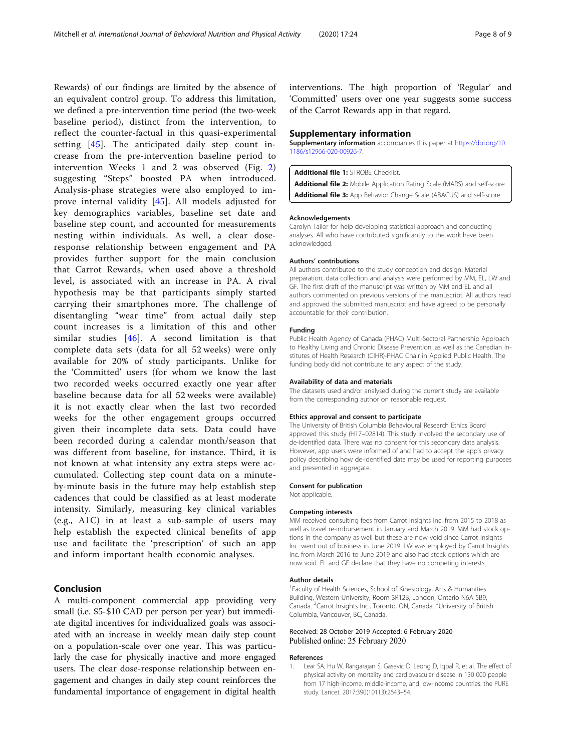<span id="page-7-0"></span>Rewards) of our findings are limited by the absence of an equivalent control group. To address this limitation, we defined a pre-intervention time period (the two-week baseline period), distinct from the intervention, to reflect the counter-factual in this quasi-experimental setting [[45\]](#page-8-0). The anticipated daily step count increase from the pre-intervention baseline period to intervention Weeks 1 and 2 was observed (Fig. [2](#page-5-0)) suggesting "Steps" boosted PA when introduced. Analysis-phase strategies were also employed to improve internal validity [\[45\]](#page-8-0). All models adjusted for key demographics variables, baseline set date and baseline step count, and accounted for measurements nesting within individuals. As well, a clear doseresponse relationship between engagement and PA provides further support for the main conclusion that Carrot Rewards, when used above a threshold level, is associated with an increase in PA. A rival hypothesis may be that participants simply started carrying their smartphones more. The challenge of disentangling "wear time" from actual daily step count increases is a limitation of this and other similar studies  $[46]$  $[46]$  $[46]$ . A second limitation is that complete data sets (data for all 52 weeks) were only available for 20% of study participants. Unlike for the 'Committed' users (for whom we know the last two recorded weeks occurred exactly one year after baseline because data for all 52 weeks were available) it is not exactly clear when the last two recorded weeks for the other engagement groups occurred given their incomplete data sets. Data could have been recorded during a calendar month/season that was different from baseline, for instance. Third, it is not known at what intensity any extra steps were accumulated. Collecting step count data on a minuteby-minute basis in the future may help establish step cadences that could be classified as at least moderate intensity. Similarly, measuring key clinical variables (e.g., A1C) in at least a sub-sample of users may help establish the expected clinical benefits of app use and facilitate the 'prescription' of such an app and inform important health economic analyses.

# Conclusion

A multi-component commercial app providing very small (i.e. \$5-\$10 CAD per person per year) but immediate digital incentives for individualized goals was associated with an increase in weekly mean daily step count on a population-scale over one year. This was particularly the case for physically inactive and more engaged users. The clear dose-response relationship between engagement and changes in daily step count reinforces the fundamental importance of engagement in digital health interventions. The high proportion of 'Regular' and 'Committed' users over one year suggests some success of the Carrot Rewards app in that regard.

#### Supplementary information

Supplementary information accompanies this paper at [https://doi.org/10.](https://doi.org/10.1186/s12966-020-00926-7) [1186/s12966-020-00926-7](https://doi.org/10.1186/s12966-020-00926-7).

#### Additional file 1: STROBE Checklist.

Additional file 2: Mobile Application Rating Scale (MARS) and self-score. Additional file 3: App Behavior Change Scale (ABACUS) and self-score.

#### Acknowledgements

Carolyn Tailor for help developing statistical approach and conducting analyses. All who have contributed significantly to the work have been acknowledged.

#### Authors' contributions

All authors contributed to the study conception and design. Material preparation, data collection and analysis were performed by MM, EL, LW and GF. The first draft of the manuscript was written by MM and EL and all authors commented on previous versions of the manuscript. All authors read and approved the submitted manuscript and have agreed to be personally accountable for their contribution.

#### Funding

Public Health Agency of Canada (PHAC) Multi-Sectoral Partnership Approach to Healthy Living and Chronic Disease Prevention, as well as the Canadian Institutes of Health Research (CIHR)-PHAC Chair in Applied Public Health. The funding body did not contribute to any aspect of the study.

#### Availability of data and materials

The datasets used and/or analysed during the current study are available from the corresponding author on reasonable request.

#### Ethics approval and consent to participate

The University of British Columbia Behavioural Research Ethics Board approved this study (H17–02814). This study involved the secondary use of de-identified data. There was no consent for this secondary data analysis. However, app users were informed of and had to accept the app's privacy policy describing how de-identified data may be used for reporting purposes and presented in aggregate.

#### Consent for publication

Not applicable.

#### Competing interests

MM received consulting fees from Carrot Insights Inc. from 2015 to 2018 as well as travel re-imbursement in January and March 2019. MM had stock options in the company as well but these are now void since Carrot Insights Inc. went out of business in June 2019. LW was employed by Carrot Insights Inc. from March 2016 to June 2019 and also had stock options which are now void. EL and GF declare that they have no competing interests.

#### Author details

<sup>1</sup> Faculty of Health Sciences, School of Kinesiology, Arts & Humanities Building, Western University, Room 3R12B, London, Ontario N6A 5B9, Canada. <sup>2</sup> Carrot Insights Inc., Toronto, ON, Canada. <sup>3</sup> University of British Columbia, Vancouver, BC, Canada.

#### Received: 28 October 2019 Accepted: 6 February 2020 Published online: 25 February 2020

#### References

1. Lear SA, Hu W, Rangarajan S, Gasevic D, Leong D, Iqbal R, et al. The effect of physical activity on mortality and cardiovascular disease in 130 000 people from 17 high-income, middle-income, and low-income countries: the PURE study. Lancet. 2017;390(10113):2643–54.